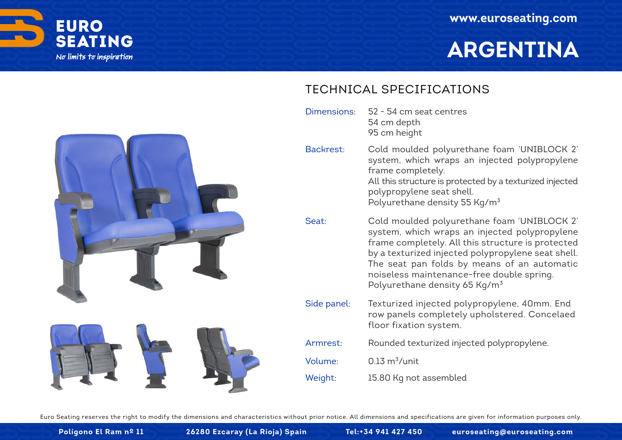

# **ARGENTINA**



52 - 54 cm seat centres 54 cm depth 95 cm height Dimensions:

Cold moulded polyurethane foam 'UNIBLOCK 2' system, which wraps an injected polypropylene frame completely. All this structure is protected by a texturized injected Backrest:

> polypropylene seat shell. Polyurethane density 55 Kg/m<sup>3</sup>

- Cold moulded polyurethane foam 'UNIBLOCK 2' system, which wraps an injected polypropylene frame completely. All this structure is protected by a texturized injected polypropylene seat shell. The seat pan folds by means of an automatic noiseless maintenance-free double spring. Polyurethane density 65 Kg/m<sup>3</sup> Seat:
- Texturized injected polypropylene, 40mm. End row panels completely upholstered. Concelaed floor fixation system. Side panel:



**Polígono El Ram nº 11 26280 Ezcaray (La Rioja) Spain Tel:+34 941 427 450 euroseating@euroseating.com**